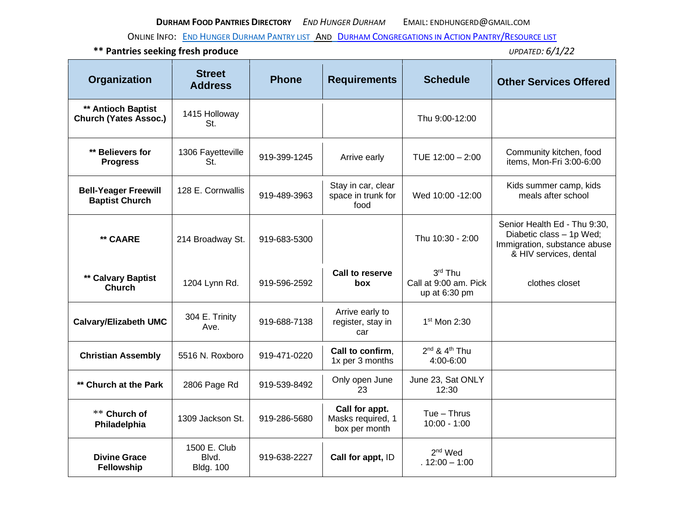ONLINE INFO: **END HUNGER DURHAM P[ANTRY LIST](http://www.endhungerdurham.org/food-pantries/) AND DURHAM C[ONGREGATIONS IN](http://www.dcia.org/) ACTION PANTRY/RESOURCE LIST** 

| Organization                                         | <b>Street</b><br><b>Address</b>           | <b>Phone</b> | <b>Requirements</b>                                  | <b>Schedule</b>                                     | <b>Other Services Offered</b>                                                                                      |
|------------------------------------------------------|-------------------------------------------|--------------|------------------------------------------------------|-----------------------------------------------------|--------------------------------------------------------------------------------------------------------------------|
| ** Antioch Baptist<br><b>Church (Yates Assoc.)</b>   | 1415 Holloway<br>St.                      |              |                                                      | Thu 9:00-12:00                                      |                                                                                                                    |
| ** Believers for<br><b>Progress</b>                  | 1306 Fayetteville<br>St.                  | 919-399-1245 | Arrive early                                         | TUE 12:00 - 2:00                                    | Community kitchen, food<br>items, Mon-Fri 3:00-6:00                                                                |
| <b>Bell-Yeager Freewill</b><br><b>Baptist Church</b> | 128 E. Cornwallis                         | 919-489-3963 | Stay in car, clear<br>space in trunk for<br>food     | Wed 10:00 -12:00                                    | Kids summer camp, kids<br>meals after school                                                                       |
| ** CAARE                                             | 214 Broadway St.                          | 919-683-5300 |                                                      | Thu 10:30 - 2:00                                    | Senior Health Ed - Thu 9:30,<br>Diabetic class - 1p Wed;<br>Immigration, substance abuse<br>& HIV services, dental |
| ** Calvary Baptist<br><b>Church</b>                  | 1204 Lynn Rd.                             | 919-596-2592 | <b>Call to reserve</b><br>box                        | $3rd$ Thu<br>Call at 9:00 am. Pick<br>up at 6:30 pm | clothes closet                                                                                                     |
| <b>Calvary/Elizabeth UMC</b>                         | 304 E. Trinity<br>Ave.                    | 919-688-7138 | Arrive early to<br>register, stay in<br>car          | 1 <sup>st</sup> Mon 2:30                            |                                                                                                                    |
| <b>Christian Assembly</b>                            | 5516 N. Roxboro                           | 919-471-0220 | Call to confirm.<br>1x per 3 months                  | $2^{nd}$ & $4^{th}$ Thu<br>4:00-6:00                |                                                                                                                    |
| ** Church at the Park                                | 2806 Page Rd                              | 919-539-8492 | Only open June<br>23                                 | June 23, Sat ONLY<br>12:30                          |                                                                                                                    |
| ** Church of<br>Philadelphia                         | 1309 Jackson St.                          | 919-286-5680 | Call for appt.<br>Masks required, 1<br>box per month | $Tue - Thrus$<br>$10:00 - 1:00$                     |                                                                                                                    |
| <b>Divine Grace</b><br>Fellowship                    | 1500 E. Club<br>Blvd.<br><b>Bldg. 100</b> | 919-638-2227 | Call for appt, ID                                    | $2nd$ Wed<br>$.12:00 - 1:00$                        |                                                                                                                    |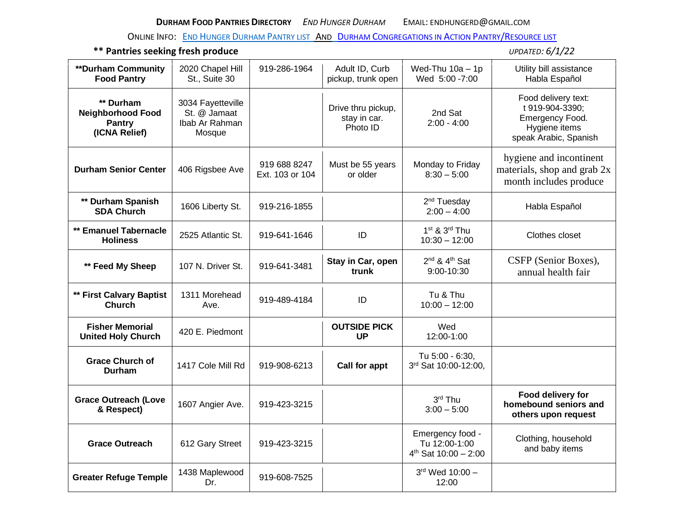ONLINE INFO: **END HUNGER DURHAM P[ANTRY LIST](http://www.endhungerdurham.org/food-pantries/) AND DURHAM C[ONGREGATIONS IN](http://www.dcia.org/) ACTION PANTRY/RESOURCE LIST** 

| <b>**Durham Community</b><br><b>Food Pantry</b>                         | 2020 Chapel Hill<br>St., Suite 30                             | 919-286-1964                    | Adult ID, Curb<br>pickup, trunk open           | Wed-Thu $10a - 1p$<br>Wed 5:00 - 7:00                          | Utility bill assistance<br>Habla Español                                                            |
|-------------------------------------------------------------------------|---------------------------------------------------------------|---------------------------------|------------------------------------------------|----------------------------------------------------------------|-----------------------------------------------------------------------------------------------------|
| ** Durham<br><b>Neighborhood Food</b><br><b>Pantry</b><br>(ICNA Relief) | 3034 Fayetteville<br>St. @ Jamaat<br>Ibab Ar Rahman<br>Mosque |                                 | Drive thru pickup,<br>stay in car.<br>Photo ID | 2nd Sat<br>$2:00 - 4:00$                                       | Food delivery text:<br>t 919-904-3390;<br>Emergency Food.<br>Hygiene items<br>speak Arabic, Spanish |
| <b>Durham Senior Center</b>                                             | 406 Rigsbee Ave                                               | 919 688 8247<br>Ext. 103 or 104 | Must be 55 years<br>or older                   | Monday to Friday<br>$8:30 - 5:00$                              | hygiene and incontinent<br>materials, shop and grab 2x<br>month includes produce                    |
| ** Durham Spanish<br><b>SDA Church</b>                                  | 1606 Liberty St.                                              | 919-216-1855                    |                                                | 2 <sup>nd</sup> Tuesday<br>$2:00 - 4:00$                       | Habla Español                                                                                       |
| ** Emanuel Tabernacle<br><b>Holiness</b>                                | 2525 Atlantic St.                                             | 919-641-1646                    | ID                                             | $1st$ & $3rd$ Thu<br>$10:30 - 12:00$                           | Clothes closet                                                                                      |
| ** Feed My Sheep                                                        | 107 N. Driver St.                                             | 919-641-3481                    | Stay in Car, open<br>trunk                     | 2 <sup>nd</sup> & 4 <sup>th</sup> Sat<br>9:00-10:30            | CSFP (Senior Boxes),<br>annual health fair                                                          |
| ** First Calvary Baptist<br><b>Church</b>                               | 1311 Morehead<br>Ave.                                         | 919-489-4184                    | ID                                             | Tu & Thu<br>$10:00 - 12:00$                                    |                                                                                                     |
| <b>Fisher Memorial</b><br><b>United Holy Church</b>                     | 420 E. Piedmont                                               |                                 | <b>OUTSIDE PICK</b><br><b>UP</b>               | Wed<br>12:00-1:00                                              |                                                                                                     |
| <b>Grace Church of</b><br>Durham                                        | 1417 Cole Mill Rd                                             | 919-908-6213                    | Call for appt                                  | Tu 5:00 - 6:30,<br>3rd Sat 10:00-12:00,                        |                                                                                                     |
| <b>Grace Outreach (Love</b><br>& Respect)                               | 1607 Angier Ave.                                              | 919-423-3215                    |                                                | 3rd Thu<br>$3:00 - 5:00$                                       | Food delivery for<br>homebound seniors and<br>others upon request                                   |
| <b>Grace Outreach</b>                                                   | 612 Gary Street                                               | 919-423-3215                    |                                                | Emergency food -<br>Tu 12:00-1:00<br>$4^{th}$ Sat 10:00 - 2:00 | Clothing, household<br>and baby items                                                               |
| <b>Greater Refuge Temple</b>                                            | 1438 Maplewood<br>Dr.                                         | 919-608-7525                    |                                                | 3rd Wed 10:00 -<br>12:00                                       |                                                                                                     |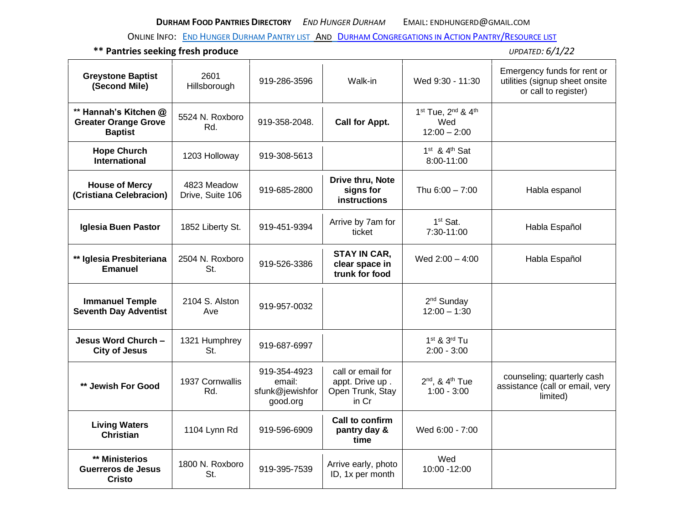ONLINE INFO: **END HUNGER DURHAM P[ANTRY LIST](http://www.endhungerdurham.org/food-pantries/) AND DURHAM C[ONGREGATIONS IN](http://www.dcia.org/) ACTION PANTRY/RESOURCE LIST** 

| <b>Greystone Baptist</b><br>(Second Mile)                              | 2601<br>Hillsborough            | 919-286-3596                                          | Walk-in                                                           | Wed 9:30 - 11:30                                      | Emergency funds for rent or<br>utilities (signup sheet onsite<br>or call to register) |
|------------------------------------------------------------------------|---------------------------------|-------------------------------------------------------|-------------------------------------------------------------------|-------------------------------------------------------|---------------------------------------------------------------------------------------|
| ** Hannah's Kitchen @<br><b>Greater Orange Grove</b><br><b>Baptist</b> | 5524 N. Roxboro<br>Rd.          | 919-358-2048.                                         | <b>Call for Appt.</b>                                             | 1st Tue, 2nd & 4th<br>Wed<br>$12:00 - 2:00$           |                                                                                       |
| <b>Hope Church</b><br><b>International</b>                             | 1203 Holloway                   | 919-308-5613                                          |                                                                   | $1st$ & $4th$ Sat<br>8:00-11:00                       |                                                                                       |
| <b>House of Mercy</b><br>(Cristiana Celebracion)                       | 4823 Meadow<br>Drive, Suite 106 | 919-685-2800                                          | Drive thru, Note<br>signs for<br><b>instructions</b>              | Thu 6:00 - 7:00                                       | Habla espanol                                                                         |
| Iglesia Buen Pastor                                                    | 1852 Liberty St.                | 919-451-9394                                          | Arrive by 7am for<br>ticket                                       | 1 <sup>st</sup> Sat.<br>7:30-11:00                    | Habla Español                                                                         |
| ** Iglesia Presbiteriana<br><b>Emanuel</b>                             | 2504 N. Roxboro<br>St.          | 919-526-3386                                          | <b>STAY IN CAR,</b><br>clear space in<br>trunk for food           | Wed $2:00 - 4:00$                                     | Habla Español                                                                         |
| <b>Immanuel Temple</b><br><b>Seventh Day Adventist</b>                 | 2104 S. Alston<br>Ave           | 919-957-0032                                          |                                                                   | 2 <sup>nd</sup> Sunday<br>$12:00 - 1:30$              |                                                                                       |
| Jesus Word Church -<br><b>City of Jesus</b>                            | 1321 Humphrey<br>St.            | 919-687-6997                                          |                                                                   | 1 <sup>st</sup> & 3 <sup>rd</sup> Tu<br>$2:00 - 3:00$ |                                                                                       |
| ** Jewish For Good                                                     | 1937 Cornwallis<br>Rd.          | 919-354-4923<br>email:<br>sfunk@jewishfor<br>good.org | call or email for<br>appt. Drive up.<br>Open Trunk, Stay<br>in Cr | $2nd$ , & $4th$ Tue<br>$1:00 - 3:00$                  | counseling; quarterly cash<br>assistance (call or email, very<br>limited)             |
| <b>Living Waters</b><br><b>Christian</b>                               | 1104 Lynn Rd                    | 919-596-6909                                          | Call to confirm<br>pantry day &<br>time                           | Wed 6:00 - 7:00                                       |                                                                                       |
| ** Ministerios<br><b>Guerreros de Jesus</b><br><b>Cristo</b>           | 1800 N. Roxboro<br>St.          | 919-395-7539                                          | Arrive early, photo<br>ID, 1x per month                           | Wed<br>10:00 - 12:00                                  |                                                                                       |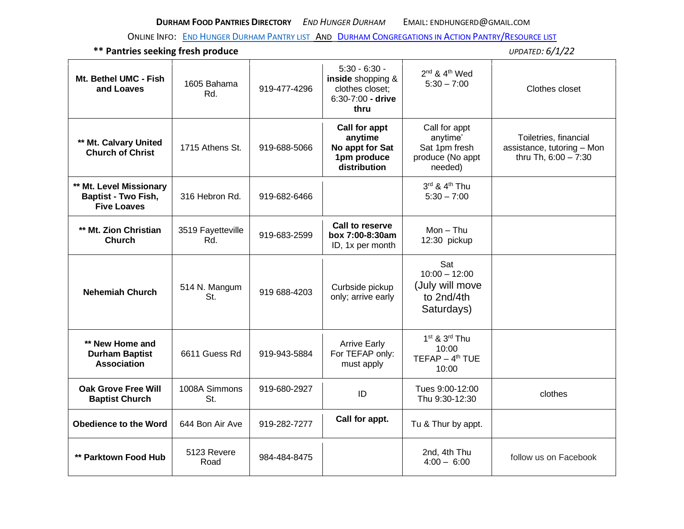ONLINE INFO: **END HUNGER DURHAM P[ANTRY LIST](http://www.endhungerdurham.org/food-pantries/) AND DURHAM C[ONGREGATIONS IN](http://www.dcia.org/) ACTION PANTRY/RESOURCE LIST** 

| Mt. Bethel UMC - Fish<br>and Loaves                                         | 1605 Bahama<br>Rd.       | 919-477-4296 | $5:30 - 6:30 -$<br>inside shopping &<br>clothes closet;<br>6:30-7:00 - drive<br>thru | 2 <sup>nd</sup> & 4 <sup>th</sup> Wed<br>$5:30 - 7:00$                    | Clothes closet                                                              |
|-----------------------------------------------------------------------------|--------------------------|--------------|--------------------------------------------------------------------------------------|---------------------------------------------------------------------------|-----------------------------------------------------------------------------|
| ** Mt. Calvary United<br><b>Church of Christ</b>                            | 1715 Athens St.          | 919-688-5066 | <b>Call for appt</b><br>anytime<br>No appt for Sat<br>1pm produce<br>distribution    | Call for appt<br>anytime'<br>Sat 1pm fresh<br>produce (No appt<br>needed) | Toiletries, financial<br>assistance, tutoring - Mon<br>thru Th, 6:00 - 7:30 |
| ** Mt. Level Missionary<br><b>Baptist - Two Fish,</b><br><b>Five Loaves</b> | 316 Hebron Rd.           | 919-682-6466 |                                                                                      | 3rd & 4th Thu<br>$5:30 - 7:00$                                            |                                                                             |
| ** Mt. Zion Christian<br><b>Church</b>                                      | 3519 Fayetteville<br>Rd. | 919-683-2599 | Call to reserve<br>box 7:00-8:30am<br>ID, 1x per month                               | $Mon - Thu$<br>12:30 pickup                                               |                                                                             |
| <b>Nehemiah Church</b>                                                      | 514 N. Mangum<br>St.     | 919 688-4203 | Curbside pickup<br>only; arrive early                                                | Sat<br>$10:00 - 12:00$<br>(July will move<br>to 2nd/4th<br>Saturdays)     |                                                                             |
| ** New Home and<br><b>Durham Baptist</b><br><b>Association</b>              | 6611 Guess Rd            | 919-943-5884 | <b>Arrive Early</b><br>For TEFAP only:<br>must apply                                 | $1st$ & $3rd$ Thu<br>10:00<br>$TEFAP - 4th TUE$<br>10:00                  |                                                                             |
| <b>Oak Grove Free Will</b><br><b>Baptist Church</b>                         | 1008A Simmons<br>St.     | 919-680-2927 | ID                                                                                   | Tues 9:00-12:00<br>Thu 9:30-12:30                                         | clothes                                                                     |
| <b>Obedience to the Word</b>                                                | 644 Bon Air Ave          | 919-282-7277 | Call for appt.                                                                       | Tu & Thur by appt.                                                        |                                                                             |
| ** Parktown Food Hub                                                        | 5123 Revere<br>Road      | 984-484-8475 |                                                                                      | 2nd, 4th Thu<br>$4:00 - 6:00$                                             | follow us on Facebook                                                       |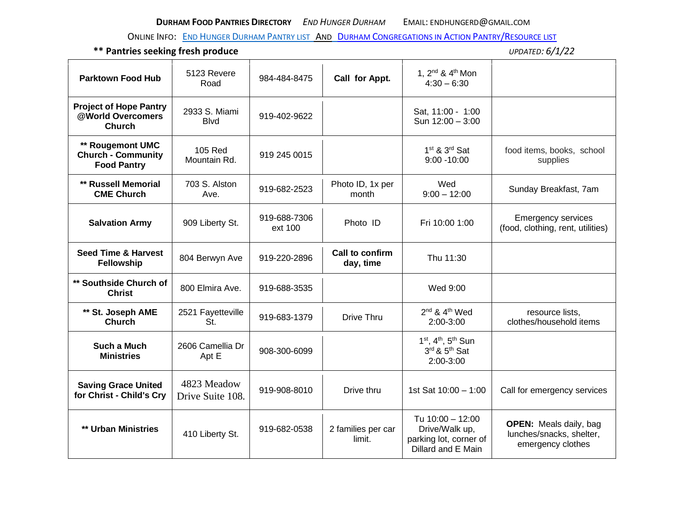ONLINE INFO: **END HUNGER DURHAM P[ANTRY LIST](http://www.endhungerdurham.org/food-pantries/) AND DURHAM C[ONGREGATIONS IN](http://www.dcia.org/) ACTION PANTRY/RESOURCE LIST** 

| <b>Parktown Food Hub</b>                                            | 5123 Revere<br>Road             | 984-484-8475            | Call for Appt.               | 1, 2 <sup>nd</sup> & 4 <sup>th</sup> Mon<br>$4:30 - 6:30$                          |                                                                                |
|---------------------------------------------------------------------|---------------------------------|-------------------------|------------------------------|------------------------------------------------------------------------------------|--------------------------------------------------------------------------------|
| <b>Project of Hope Pantry</b><br>@World Overcomers<br><b>Church</b> | 2933 S. Miami<br><b>B</b> lvd   | 919-402-9622            |                              | Sat, 11:00 - 1:00<br>Sun 12:00 - 3:00                                              |                                                                                |
| ** Rougemont UMC<br><b>Church - Community</b><br><b>Food Pantry</b> | 105 Red<br>Mountain Rd.         | 919 245 0015            |                              | 1 <sup>st</sup> & 3 <sup>rd</sup> Sat<br>$9:00 - 10:00$                            | food items, books, school<br>supplies                                          |
| ** Russell Memorial<br><b>CME Church</b>                            | 703 S. Alston<br>Ave.           | 919-682-2523            | Photo ID, 1x per<br>month    | Wed<br>$9:00 - 12:00$                                                              | Sunday Breakfast, 7am                                                          |
| <b>Salvation Army</b>                                               | 909 Liberty St.                 | 919-688-7306<br>ext 100 | Photo ID                     | Fri 10:00 1:00                                                                     | <b>Emergency services</b><br>(food, clothing, rent, utilities)                 |
| <b>Seed Time &amp; Harvest</b><br>Fellowship                        | 804 Berwyn Ave                  | 919-220-2896            | Call to confirm<br>day, time | Thu 11:30                                                                          |                                                                                |
| ** Southside Church of<br><b>Christ</b>                             | 800 Elmira Ave.                 | 919-688-3535            |                              | Wed 9:00                                                                           |                                                                                |
| ** St. Joseph AME<br><b>Church</b>                                  | 2521 Fayetteville<br>St.        | 919-683-1379            | Drive Thru                   | 2 <sup>nd</sup> & 4 <sup>th</sup> Wed<br>$2:00-3:00$                               | resource lists,<br>clothes/household items                                     |
| Such a Much<br><b>Ministries</b>                                    | 2606 Camellia Dr<br>Apt E       | 908-300-6099            |                              | 1st, 4th, 5th Sun<br>3rd & 5 <sup>th</sup> Sat<br>2:00-3:00                        |                                                                                |
| <b>Saving Grace United</b><br>for Christ - Child's Cry              | 4823 Meadow<br>Drive Suite 108. | 919-908-8010            | Drive thru                   | 1st Sat 10:00 - 1:00                                                               | Call for emergency services                                                    |
| ** Urban Ministries                                                 | 410 Liberty St.                 | 919-682-0538            | 2 families per car<br>limit. | Tu 10:00 - 12:00<br>Drive/Walk up,<br>parking lot, corner of<br>Dillard and E Main | <b>OPEN:</b> Meals daily, bag<br>lunches/snacks, shelter,<br>emergency clothes |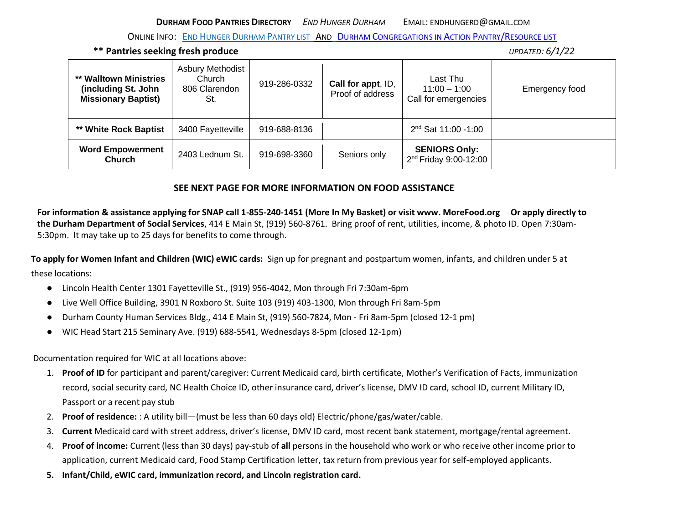ONLINE INFO: END HUNGER DURHAM P[ANTRY LIST](http://www.endhungerdurham.org/food-pantries/) AND DURHAM C[ONGREGATIONS IN](http://www.dcia.org/) ACTION PANTRY/RESOURCE LIST

**\*\* Pantries seeking fresh produce** *UPDATED: 6/1/22*

| ** Walltown Ministries<br>(including St. John<br><b>Missionary Baptist)</b> | <b>Asbury Methodist</b><br>Church<br>806 Clarendon<br>St. | 919-286-0332 | Call for appt, ID,<br>Proof of address | Last Thu<br>$11:00 - 1:00$<br>Call for emergencies        | Emergency food |
|-----------------------------------------------------------------------------|-----------------------------------------------------------|--------------|----------------------------------------|-----------------------------------------------------------|----------------|
| ** White Rock Baptist                                                       | 3400 Fayetteville                                         | 919-688-8136 |                                        | $2nd$ Sat 11:00 -1:00                                     |                |
| <b>Word Empowerment</b><br><b>Church</b>                                    | 2403 Lednum St.                                           | 919-698-3360 | Seniors only                           | <b>SENIORS Only:</b><br>2 <sup>nd</sup> Friday 9:00-12:00 |                |

## **SEE NEXT PAGE FOR MORE INFORMATION ON FOOD ASSISTANCE**

**For information & assistance applying for SNAP call 1-855-240-1451 (More In My Basket) or visit www. MoreFood.org Or apply directly to the Durham Department of Social Services**, 414 E Main St, (919) 560-8761. Bring proof of rent, utilities, income, & photo ID. Open 7:30am-5:30pm. It may take up to 25 days for benefits to come through.

**To apply for Women Infant and Children (WIC) eWIC cards:** Sign up for pregnant and postpartum women, infants, and children under 5 at these locations:

- Lincoln Health Center 1301 Fayetteville St., (919) 956-4042, Mon through Fri 7:30am-6pm
- Live Well Office Building, 3901 N Roxboro St. Suite 103 (919) 403-1300, Mon through Fri 8am-5pm
- Durham County Human Services Bldg., 414 E Main St, (919) 560-7824, Mon Fri 8am-5pm (closed 12-1 pm)
- WIC Head Start 215 Seminary Ave. (919) 688-5541, Wednesdays 8-5pm (closed 12-1pm)

Documentation required for WIC at all locations above:

- 1. **Proof of ID** for participant and parent/caregiver: Current Medicaid card, birth certificate, Mother's Verification of Facts, immunization record, social security card, NC Health Choice ID, other insurance card, driver's license, DMV ID card, school ID, current Military ID, Passport or a recent pay stub
- 2. **Proof of residence:** : A utility bill—(must be less than 60 days old) Electric/phone/gas/water/cable.
- 3. **Current** Medicaid card with street address, driver's license, DMV ID card, most recent bank statement, mortgage/rental agreement.
- 4. **Proof of income:** Current (less than 30 days) pay-stub of **all** persons in the household who work or who receive other income prior to application, current Medicaid card, Food Stamp Certification letter, tax return from previous year for self-employed applicants.
- **5. Infant/Child, eWIC card, immunization record, and Lincoln registration card.**